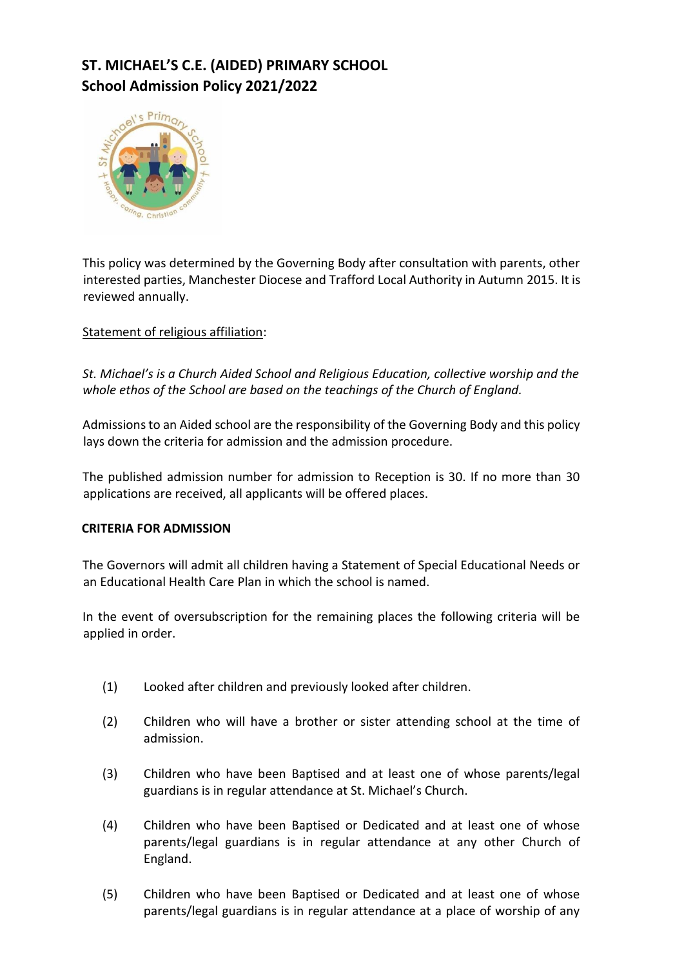# **ST. MICHAEL'S C.E. (AIDED) PRIMARY SCHOOL School Admission Policy 2021/2022**



This policy was determined by the Governing Body after consultation with parents, other interested parties, Manchester Diocese and Trafford Local Authority in Autumn 2015. It is reviewed annually.

### Statement of religious affiliation:

*St. Michael's is a Church Aided School and Religious Education, collective worship and the whole ethos of the School are based on the teachings of the Church of England.* 

Admissions to an Aided school are the responsibility of the Governing Body and this policy lays down the criteria for admission and the admission procedure.

The published admission number for admission to Reception is 30. If no more than 30 applications are received, all applicants will be offered places.

#### **CRITERIA FOR ADMISSION**

The Governors will admit all children having a Statement of Special Educational Needs or an Educational Health Care Plan in which the school is named.

In the event of oversubscription for the remaining places the following criteria will be applied in order.

- (1) Looked after children and previously looked after children.
- (2) Children who will have a brother or sister attending school at the time of admission.
- (3) Children who have been Baptised and at least one of whose parents/legal guardians is in regular attendance at St. Michael's Church.
- (4) Children who have been Baptised or Dedicated and at least one of whose parents/legal guardians is in regular attendance at any other Church of England.
- (5) Children who have been Baptised or Dedicated and at least one of whose parents/legal guardians is in regular attendance at a place of worship of any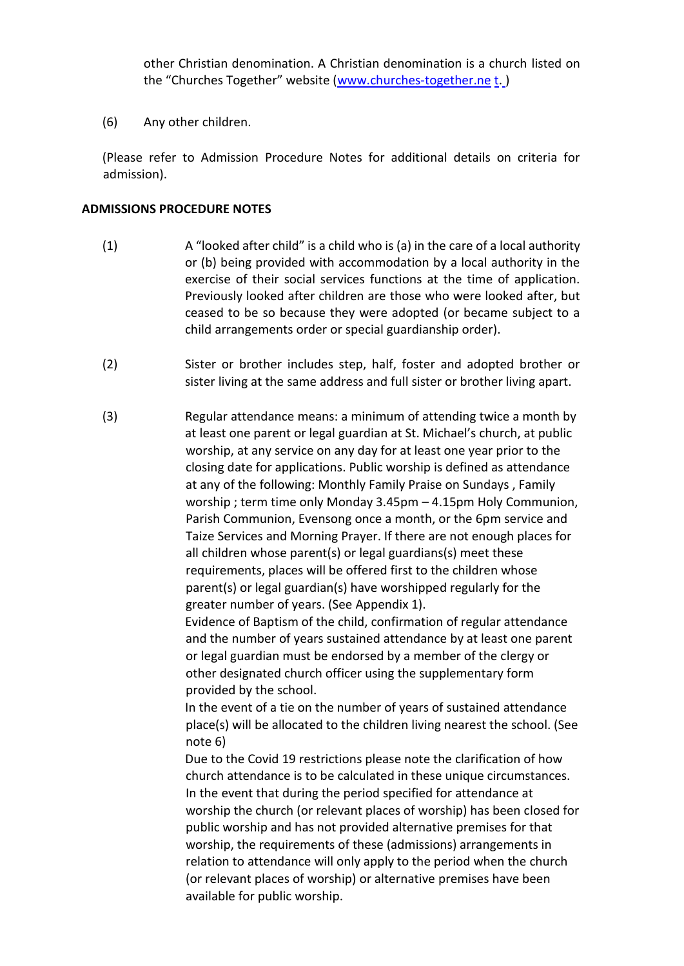other Christian denomination. A Christian denomination is a church listed on the "Churches Together" website ([www.churches-together.ne](http://www.churches-together.net/) [t.](http://www.churches-together.net/))

(6) Any other children.

(Please refer to Admission Procedure Notes for additional details on criteria for admission).

#### **ADMISSIONS PROCEDURE NOTES**

- (1) A "looked after child" is a child who is (a) in the care of a local authority or (b) being provided with accommodation by a local authority in the exercise of their social services functions at the time of application. Previously looked after children are those who were looked after, but ceased to be so because they were adopted (or became subject to a child arrangements order or special guardianship order).
- (2) Sister or brother includes step, half, foster and adopted brother or sister living at the same address and full sister or brother living apart.
- (3) Regular attendance means: a minimum of attending twice a month by at least one parent or legal guardian at St. Michael's church, at public worship, at any service on any day for at least one year prior to the closing date for applications. Public worship is defined as attendance at any of the following: Monthly Family Praise on Sundays , Family worship ; term time only Monday 3.45pm – 4.15pm Holy Communion, Parish Communion, Evensong once a month, or the 6pm service and Taize Services and Morning Prayer. If there are not enough places for all children whose parent(s) or legal guardians(s) meet these requirements, places will be offered first to the children whose parent(s) or legal guardian(s) have worshipped regularly for the greater number of years. (See Appendix 1).

Evidence of Baptism of the child, confirmation of regular attendance and the number of years sustained attendance by at least one parent or legal guardian must be endorsed by a member of the clergy or other designated church officer using the supplementary form provided by the school.

In the event of a tie on the number of years of sustained attendance place(s) will be allocated to the children living nearest the school. (See note 6)

Due to the Covid 19 restrictions please note the clarification of how church attendance is to be calculated in these unique circumstances. In the event that during the period specified for attendance at worship the church (or relevant places of worship) has been closed for public worship and has not provided alternative premises for that worship, the requirements of these (admissions) arrangements in relation to attendance will only apply to the period when the church (or relevant places of worship) or alternative premises have been available for public worship.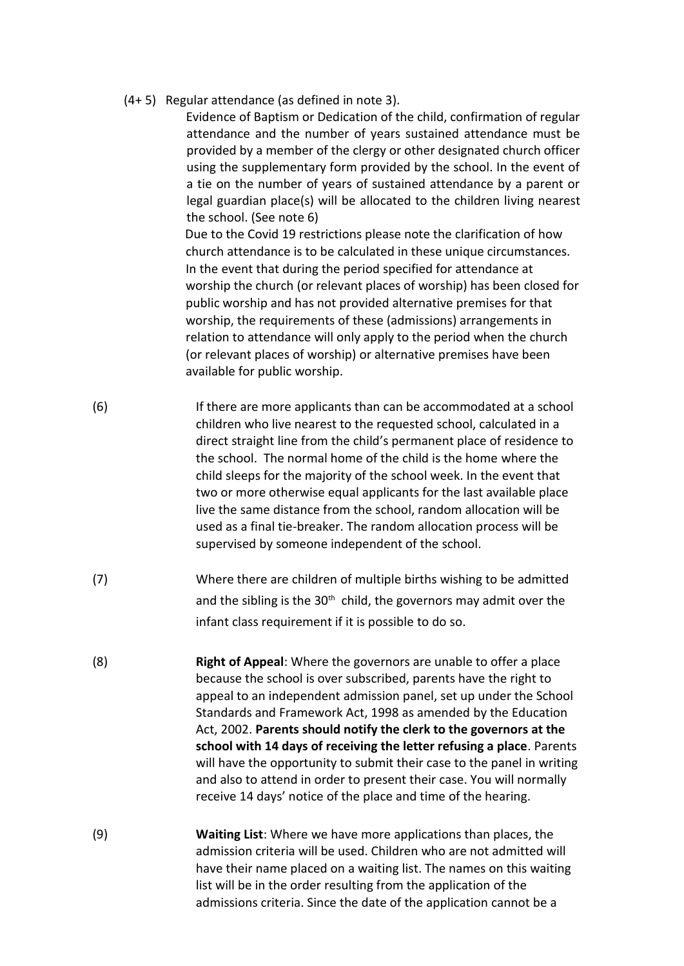(4+ 5) Regular attendance (as defined in note 3).

Evidence of Baptism or Dedication of the child, confirmation of regular attendance and the number of years sustained attendance must be provided by a member of the clergy or other designated church officer using the supplementary form provided by the school. In the event of a tie on the number of years of sustained attendance by a parent or legal guardian place(s) will be allocated to the children living nearest the school. (See note 6)

Due to the Covid 19 restrictions please note the clarification of how church attendance is to be calculated in these unique circumstances. In the event that during the period specified for attendance at worship the church (or relevant places of worship) has been closed for public worship and has not provided alternative premises for that worship, the requirements of these (admissions) arrangements in relation to attendance will only apply to the period when the church (or relevant places of worship) or alternative premises have been available for public worship.

- (6) If there are more applicants than can be accommodated at a school children who live nearest to the requested school, calculated in a direct straight line from the child's permanent place of residence to the school. The normal home of the child is the home where the child sleeps for the majority of the school week. In the event that two or more otherwise equal applicants for the last available place live the same distance from the school, random allocation will be used as a final tie-breaker. The random allocation process will be supervised by someone independent of the school.
- (7) Where there are children of multiple births wishing to be admitted and the sibling is the  $30<sup>th</sup>$  child, the governors may admit over the infant class requirement if it is possible to do so.
- (8) **Right of Appeal**: Where the governors are unable to offer a place because the school is over subscribed, parents have the right to appeal to an independent admission panel, set up under the School Standards and Framework Act, 1998 as amended by the Education Act, 2002. **Parents should notify the clerk to the governors at the school with 14 days of receiving the letter refusing a place**. Parents will have the opportunity to submit their case to the panel in writing and also to attend in order to present their case. You will normally receive 14 days' notice of the place and time of the hearing.
- (9) **Waiting List**: Where we have more applications than places, the admission criteria will be used. Children who are not admitted will have their name placed on a waiting list. The names on this waiting list will be in the order resulting from the application of the admissions criteria. Since the date of the application cannot be a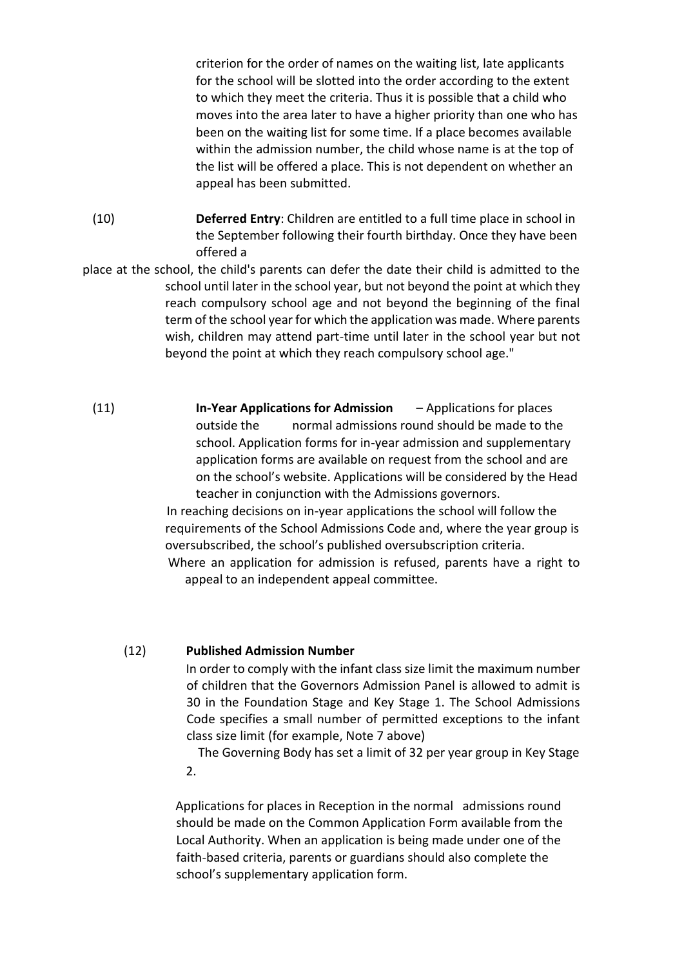criterion for the order of names on the waiting list, late applicants for the school will be slotted into the order according to the extent to which they meet the criteria. Thus it is possible that a child who moves into the area later to have a higher priority than one who has been on the waiting list for some time. If a place becomes available within the admission number, the child whose name is at the top of the list will be offered a place. This is not dependent on whether an appeal has been submitted.

- (10) **Deferred Entry**: Children are entitled to a full time place in school in the September following their fourth birthday. Once they have been offered a
- place at the school, the child's parents can defer the date their child is admitted to the school until later in the school year, but not beyond the point at which they reach compulsory school age and not beyond the beginning of the final term of the school year for which the application was made. Where parents wish, children may attend part-time until later in the school year but not beyond the point at which they reach compulsory school age."
	- (11) **In-Year Applications for Admission** Applications for places outside the normal admissions round should be made to the school. Application forms for in-year admission and supplementary application forms are available on request from the school and are on the school's website. Applications will be considered by the Head teacher in conjunction with the Admissions governors.

 In reaching decisions on in-year applications the school will follow the requirements of the School Admissions Code and, where the year group is oversubscribed, the school's published oversubscription criteria.

 Where an application for admission is refused, parents have a right to appeal to an independent appeal committee.

#### (12) **Published Admission Number**

In order to comply with the infant class size limit the maximum number of children that the Governors Admission Panel is allowed to admit is 30 in the Foundation Stage and Key Stage 1. The School Admissions Code specifies a small number of permitted exceptions to the infant class size limit (for example, Note 7 above)

The Governing Body has set a limit of 32 per year group in Key Stage 2.

Applications for places in Reception in the normal admissions round should be made on the Common Application Form available from the Local Authority. When an application is being made under one of the faith-based criteria, parents or guardians should also complete the school's supplementary application form.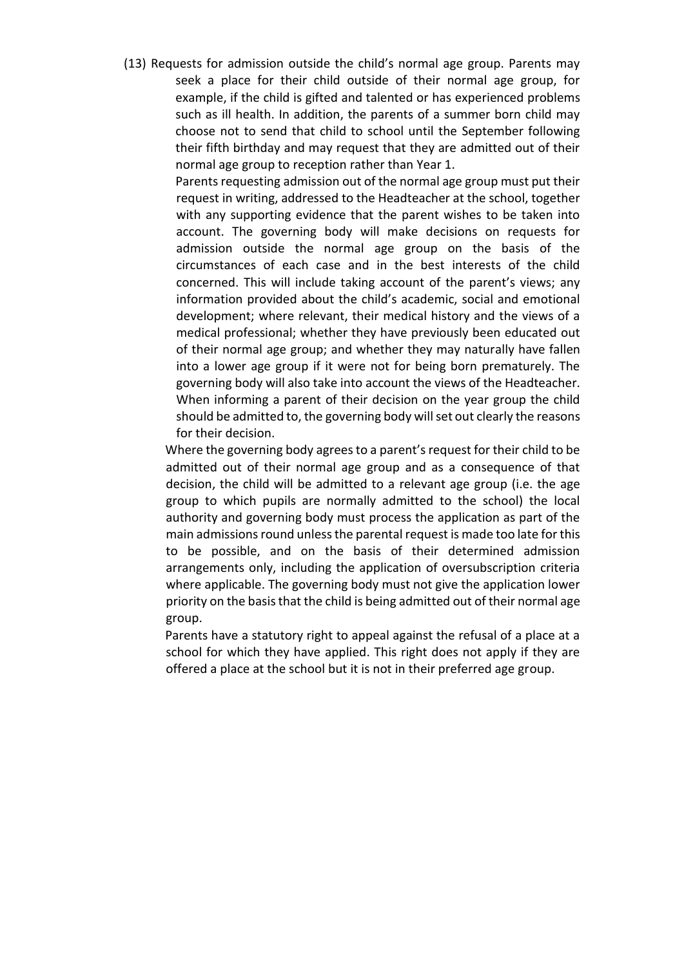(13) Requests for admission outside the child's normal age group. Parents may seek a place for their child outside of their normal age group, for example, if the child is gifted and talented or has experienced problems such as ill health. In addition, the parents of a summer born child may choose not to send that child to school until the September following their fifth birthday and may request that they are admitted out of their normal age group to reception rather than Year 1.

> Parents requesting admission out of the normal age group must put their request in writing, addressed to the Headteacher at the school, together with any supporting evidence that the parent wishes to be taken into account. The governing body will make decisions on requests for admission outside the normal age group on the basis of the circumstances of each case and in the best interests of the child concerned. This will include taking account of the parent's views; any information provided about the child's academic, social and emotional development; where relevant, their medical history and the views of a medical professional; whether they have previously been educated out of their normal age group; and whether they may naturally have fallen into a lower age group if it were not for being born prematurely. The governing body will also take into account the views of the Headteacher. When informing a parent of their decision on the year group the child should be admitted to, the governing body will set out clearly the reasons for their decision.

Where the governing body agrees to a parent's request for their child to be admitted out of their normal age group and as a consequence of that decision, the child will be admitted to a relevant age group (i.e. the age group to which pupils are normally admitted to the school) the local authority and governing body must process the application as part of the main admissions round unless the parental request is made too late for this to be possible, and on the basis of their determined admission arrangements only, including the application of oversubscription criteria where applicable. The governing body must not give the application lower priority on the basis that the child is being admitted out of their normal age group.

Parents have a statutory right to appeal against the refusal of a place at a school for which they have applied. This right does not apply if they are offered a place at the school but it is not in their preferred age group.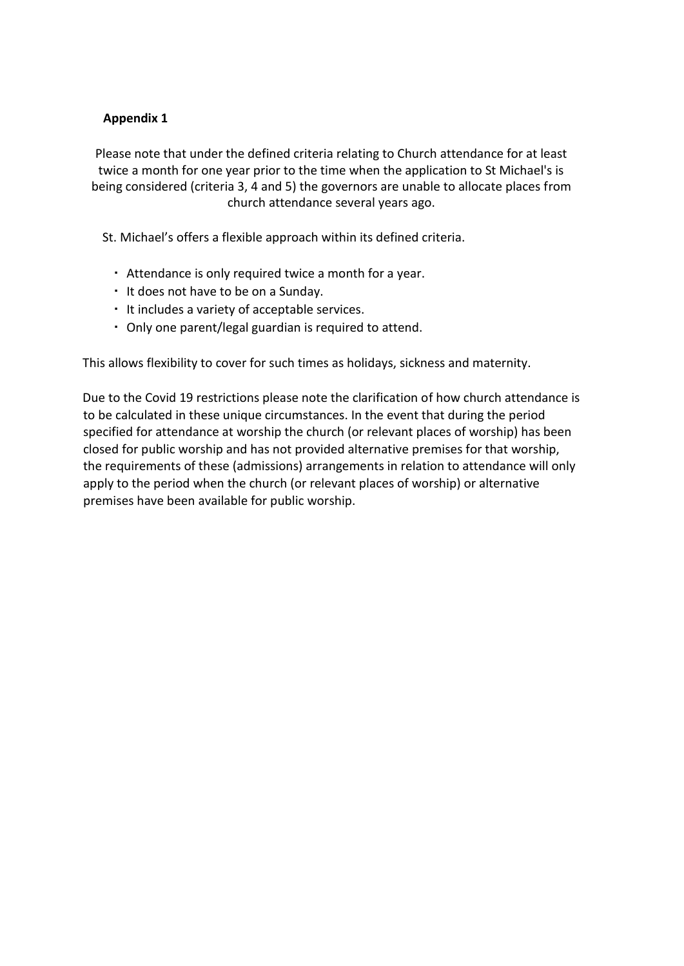## **Appendix 1**

Please note that under the defined criteria relating to Church attendance for at least twice a month for one year prior to the time when the application to St Michael's is being considered (criteria 3, 4 and 5) the governors are unable to allocate places from church attendance several years ago.

St. Michael's offers a flexible approach within its defined criteria.

- Attendance is only required twice a month for a year.
- It does not have to be on a Sunday.
- It includes a variety of acceptable services.
- Only one parent/legal guardian is required to attend.

This allows flexibility to cover for such times as holidays, sickness and maternity.

Due to the Covid 19 restrictions please note the clarification of how church attendance is to be calculated in these unique circumstances. In the event that during the period specified for attendance at worship the church (or relevant places of worship) has been closed for public worship and has not provided alternative premises for that worship, the requirements of these (admissions) arrangements in relation to attendance will only apply to the period when the church (or relevant places of worship) or alternative premises have been available for public worship.